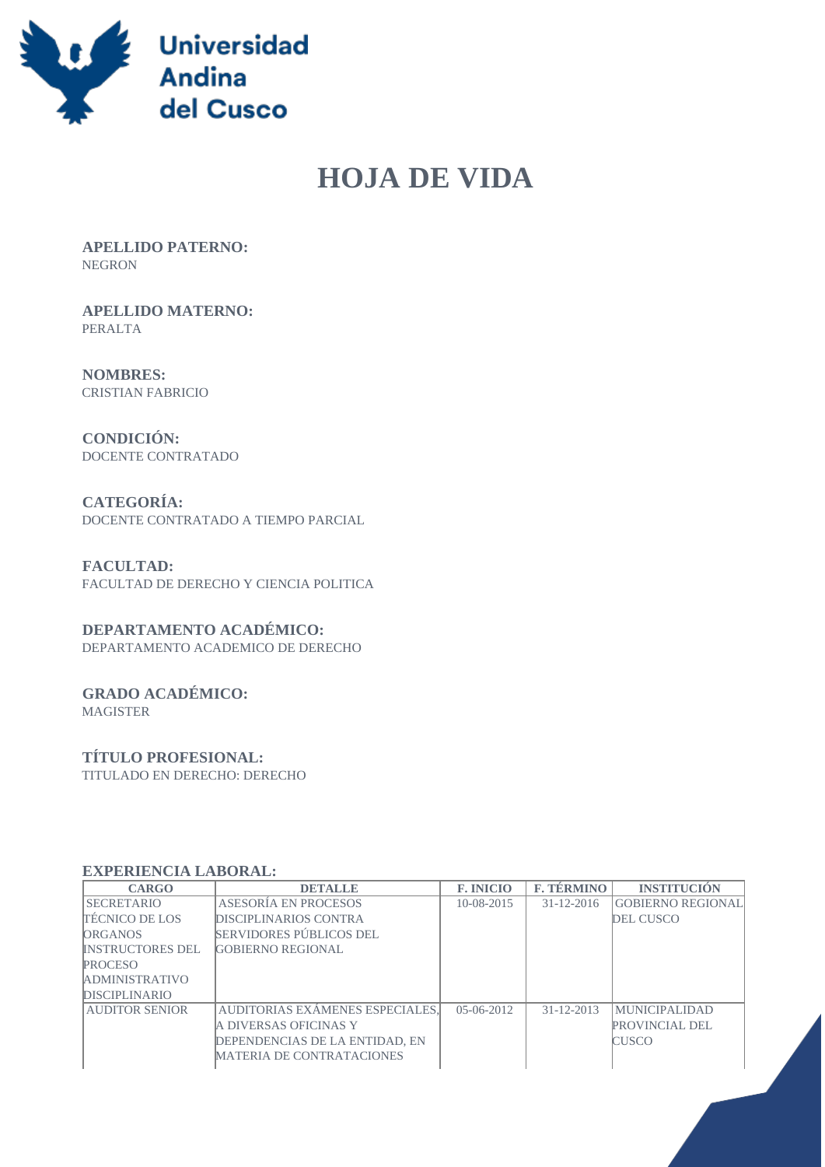

# **HOJA DE VIDA**

 **APELLIDO PATERNO:** NEGRON

 **APELLIDO MATERNO:** PERALTA

 **NOMBRES:** CRISTIAN FABRICIO

 **CONDICIÓN:** DOCENTE CONTRATADO

 **CATEGORÍA:** DOCENTE CONTRATADO A TIEMPO PARCIAL

 **FACULTAD:** FACULTAD DE DERECHO Y CIENCIA POLITICA

## **DEPARTAMENTO ACADÉMICO:**

DEPARTAMENTO ACADEMICO DE DERECHO

# **GRADO ACADÉMICO:**

MAGISTER

#### **TÍTULO PROFESIONAL:**

TITULADO EN DERECHO: DERECHO

#### **EXPERIENCIA LABORAL:**

| <b>CARGO</b>            | <b>DETALLE</b>                   | <b>F. INICIO</b> | <b>F. TÉRMINO</b> | <b>INSTITUCIÓN</b>       |
|-------------------------|----------------------------------|------------------|-------------------|--------------------------|
| <b>SECRETARIO</b>       | ASESORÍA EN PROCESOS             | $10-08-2015$     | $31 - 12 - 2016$  | <b>GOBIERNO REGIONAL</b> |
| <b>TECNICO DE LOS</b>   | <b>DISCIPLINARIOS CONTRA</b>     |                  |                   | <b>DEL CUSCO</b>         |
| <b>ORGANOS</b>          | SERVIDORES PÚBLICOS DEL          |                  |                   |                          |
| <b>INSTRUCTORES DEL</b> | <b>GOBIERNO REGIONAL</b>         |                  |                   |                          |
| <b>PROCESO</b>          |                                  |                  |                   |                          |
| <b>ADMINISTRATIVO</b>   |                                  |                  |                   |                          |
| <b>DISCIPLINARIO</b>    |                                  |                  |                   |                          |
| <b>AUDITOR SENIOR</b>   | AUDITORIAS EXÁMENES ESPECIALES,  | $05-06-2012$     | $31 - 12 - 2013$  | <b>MUNICIPALIDAD</b>     |
|                         | IA DIVERSAS OFICINAS Y           |                  |                   | <b>PROVINCIAL DEL</b>    |
|                         | DEPENDENCIAS DE LA ENTIDAD, EN   |                  |                   | <b>CUSCO</b>             |
|                         | <b>MATERIA DE CONTRATACIONES</b> |                  |                   |                          |